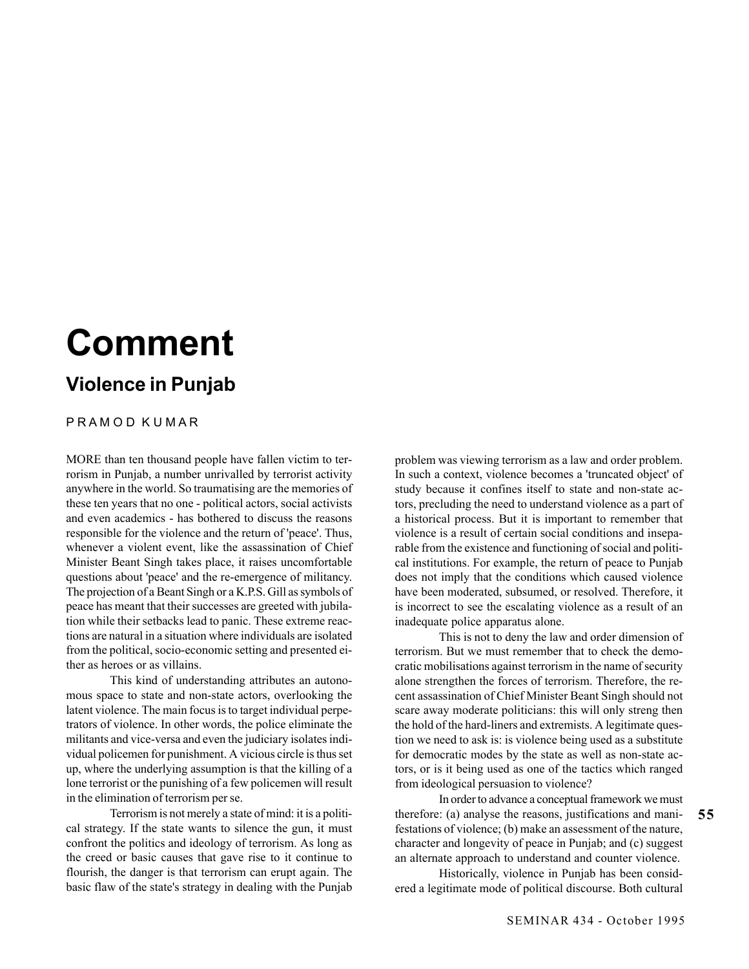## **Comment**

## **Violence in Punjab**

## P R A M O D K U M A R

MORE than ten thousand people have fallen victim to terrorism in Punjab, a number unrivalled by terrorist activity anywhere in the world. So traumatising are the memories of these ten years that no one - political actors, social activists and even academics - has bothered to discuss the reasons responsible for the violence and the return of 'peace'. Thus, whenever a violent event, like the assassination of Chief Minister Beant Singh takes place, it raises uncomfortable questions about 'peace' and the re-emergence of militancy. The projection of a Beant Singh or a K.P.S. Gill as symbols of peace has meant that their successes are greeted with jubilation while their setbacks lead to panic. These extreme reactions are natural in a situation where individuals are isolated from the political, socio-economic setting and presented either as heroes or as villains.

This kind of understanding attributes an autonomous space to state and non-state actors, overlooking the latent violence. The main focus is to target individual perpetrators of violence. In other words, the police eliminate the militants and vice-versa and even the judiciary isolates individual policemen for punishment. A vicious circle is thus set up, where the underlying assumption is that the killing of a lone terrorist or the punishing of a few policemen will result in the elimination of terrorism per se.

Terrorism is not merely a state of mind: it is a political strategy. If the state wants to silence the gun, it must confront the politics and ideology of terrorism. As long as the creed or basic causes that gave rise to it continue to flourish, the danger is that terrorism can erupt again. The basic flaw of the state's strategy in dealing with the Punjab problem was viewing terrorism as a law and order problem. In such a context, violence becomes a 'truncated object' of study because it confines itself to state and non-state actors, precluding the need to understand violence as a part of a historical process. But it is important to remember that violence is a result of certain social conditions and inseparable from the existence and functioning of social and political institutions. For example, the return of peace to Punjab does not imply that the conditions which caused violence have been moderated, subsumed, or resolved. Therefore, it is incorrect to see the escalating violence as a result of an inadequate police apparatus alone.

This is not to deny the law and order dimension of terrorism. But we must remember that to check the democratic mobilisations against terrorism in the name of security alone strengthen the forces of terrorism. Therefore, the recent assassination of Chief Minister Beant Singh should not scare away moderate politicians: this will only streng then the hold of the hard-liners and extremists. A legitimate question we need to ask is: is violence being used as a substitute for democratic modes by the state as well as non-state actors, or is it being used as one of the tactics which ranged from ideological persuasion to violence?

In order to advance a conceptual framework we must therefore: (a) analyse the reasons, justifications and manifestations of violence; (b) make an assessment of the nature, character and longevity of peace in Punjab; and (c) suggest an alternate approach to understand and counter violence.

Historically, violence in Punjab has been considered a legitimate mode of political discourse. Both cultural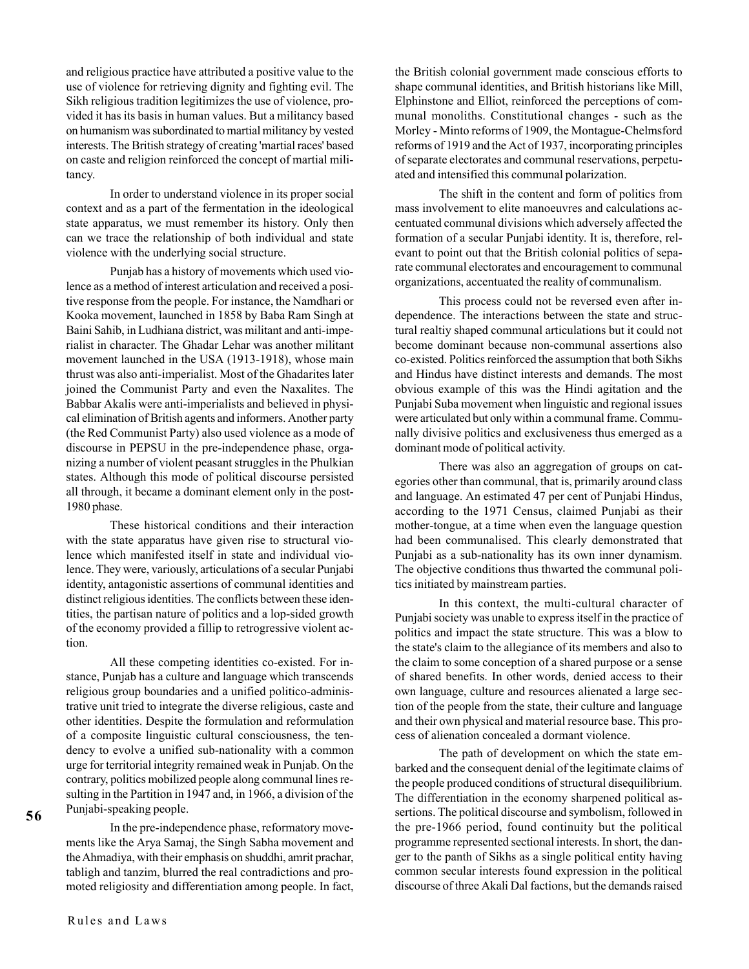and religious practice have attributed a positive value to the use of violence for retrieving dignity and fighting evil. The Sikh religious tradition legitimizes the use of violence, provided it has its basis in human values. But a militancy based on humanism was subordinated to martial militancy by vested interests. The British strategy of creating 'martial races' based on caste and religion reinforced the concept of martial militancy.

In order to understand violence in its proper social context and as a part of the fermentation in the ideological state apparatus, we must remember its history. Only then can we trace the relationship of both individual and state violence with the underlying social structure.

Punjab has a history of movements which used violence as a method of interest articulation and received a positive response from the people. For instance, the Namdhari or Kooka movement, launched in 1858 by Baba Ram Singh at Baini Sahib, in Ludhiana district, was militant and anti-imperialist in character. The Ghadar Lehar was another militant movement launched in the USA (1913-1918), whose main thrust was also anti-imperialist. Most of the Ghadarites later joined the Communist Party and even the Naxalites. The Babbar Akalis were anti-imperialists and believed in physical elimination of British agents and informers. Another party (the Red Communist Party) also used violence as a mode of discourse in PEPSU in the pre-independence phase, organizing a number of violent peasant struggles in the Phulkian states. Although this mode of political discourse persisted all through, it became a dominant element only in the post-1980 phase.

These historical conditions and their interaction with the state apparatus have given rise to structural violence which manifested itself in state and individual violence. They were, variously, articulations of a secular Punjabi identity, antagonistic assertions of communal identities and distinct religious identities. The conflicts between these identities, the partisan nature of politics and a lop-sided growth of the economy provided a fillip to retrogressive violent action.

All these competing identities co-existed. For instance, Punjab has a culture and language which transcends religious group boundaries and a unified politico-administrative unit tried to integrate the diverse religious, caste and other identities. Despite the formulation and reformulation of a composite linguistic cultural consciousness, the tendency to evolve a unified sub-nationality with a common urge for territorial integrity remained weak in Punjab. On the contrary, politics mobilized people along communal lines resulting in the Partition in 1947 and, in 1966, a division of the Punjabi-speaking people.

In the pre-independence phase, reformatory movements like the Arya Samaj, the Singh Sabha movement and the Ahmadiya, with their emphasis on shuddhi, amrit prachar, tabligh and tanzim, blurred the real contradictions and promoted religiosity and differentiation among people. In fact, the British colonial government made conscious efforts to shape communal identities, and British historians like Mill, Elphinstone and Elliot, reinforced the perceptions of communal monoliths. Constitutional changes - such as the Morley - Minto reforms of 1909, the Montague-Chelmsford reforms of 1919 and the Act of 1937, incorporating principles of separate electorates and communal reservations, perpetuated and intensified this communal polarization.

The shift in the content and form of politics from mass involvement to elite manoeuvres and calculations accentuated communal divisions which adversely affected the formation of a secular Punjabi identity. It is, therefore, relevant to point out that the British colonial politics of separate communal electorates and encouragement to communal organizations, accentuated the reality of communalism.

This process could not be reversed even after independence. The interactions between the state and structural realtiy shaped communal articulations but it could not become dominant because non-communal assertions also co-existed. Politics reinforced the assumption that both Sikhs and Hindus have distinct interests and demands. The most obvious example of this was the Hindi agitation and the Punjabi Suba movement when linguistic and regional issues were articulated but only within a communal frame. Communally divisive politics and exclusiveness thus emerged as a dominant mode of political activity.

There was also an aggregation of groups on categories other than communal, that is, primarily around class and language. An estimated 47 per cent of Punjabi Hindus, according to the 1971 Census, claimed Punjabi as their mother-tongue, at a time when even the language question had been communalised. This clearly demonstrated that Punjabi as a sub-nationality has its own inner dynamism. The objective conditions thus thwarted the communal politics initiated by mainstream parties.

In this context, the multi-cultural character of Punjabi society was unable to express itself in the practice of politics and impact the state structure. This was a blow to the state's claim to the allegiance of its members and also to the claim to some conception of a shared purpose or a sense of shared benefits. In other words, denied access to their own language, culture and resources alienated a large section of the people from the state, their culture and language and their own physical and material resource base. This process of alienation concealed a dormant violence.

The path of development on which the state embarked and the consequent denial of the legitimate claims of the people produced conditions of structural disequilibrium. The differentiation in the economy sharpened political assertions. The political discourse and symbolism, followed in the pre-1966 period, found continuity but the political programme represented sectional interests. In short, the danger to the panth of Sikhs as a single political entity having common secular interests found expression in the political discourse of three Akali Dal factions, but the demands raised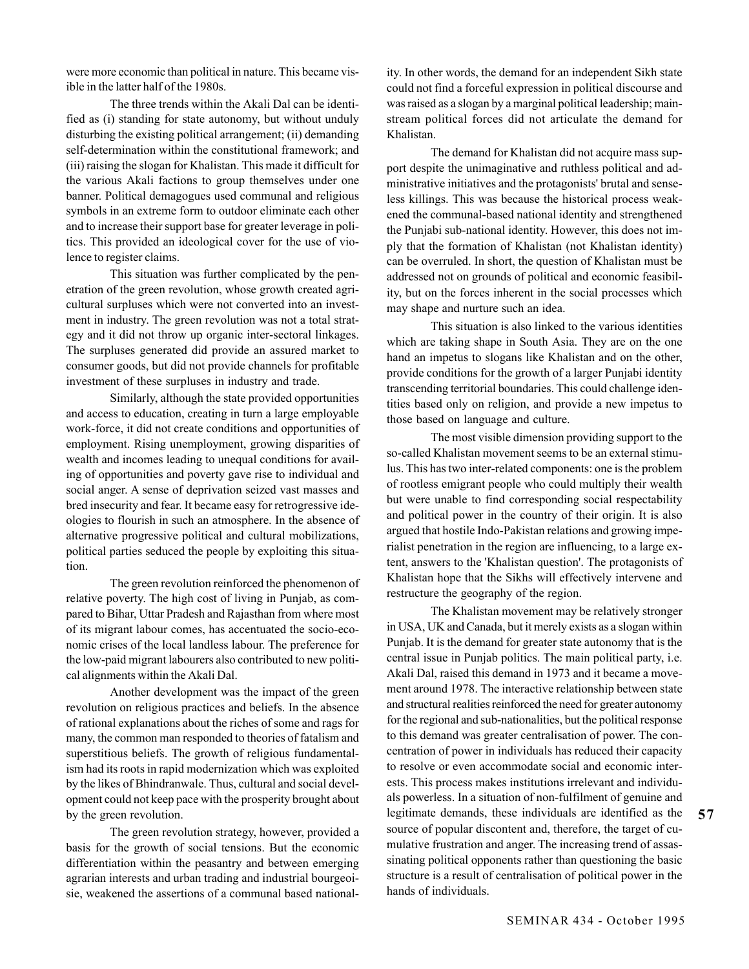were more economic than political in nature. This became visible in the latter half of the 1980s.

The three trends within the Akali Dal can be identified as (i) standing for state autonomy, but without unduly disturbing the existing political arrangement; (ii) demanding self-determination within the constitutional framework; and (iii) raising the slogan for Khalistan. This made it difficult for the various Akali factions to group themselves under one banner. Political demagogues used communal and religious symbols in an extreme form to outdoor eliminate each other and to increase their support base for greater leverage in politics. This provided an ideological cover for the use of violence to register claims.

This situation was further complicated by the penetration of the green revolution, whose growth created agricultural surpluses which were not converted into an investment in industry. The green revolution was not a total strategy and it did not throw up organic inter-sectoral linkages. The surpluses generated did provide an assured market to consumer goods, but did not provide channels for profitable investment of these surpluses in industry and trade.

Similarly, although the state provided opportunities and access to education, creating in turn a large employable work-force, it did not create conditions and opportunities of employment. Rising unemployment, growing disparities of wealth and incomes leading to unequal conditions for availing of opportunities and poverty gave rise to individual and social anger. A sense of deprivation seized vast masses and bred insecurity and fear. It became easy for retrogressive ideologies to flourish in such an atmosphere. In the absence of alternative progressive political and cultural mobilizations, political parties seduced the people by exploiting this situation.

The green revolution reinforced the phenomenon of relative poverty. The high cost of living in Punjab, as compared to Bihar, Uttar Pradesh and Rajasthan from where most of its migrant labour comes, has accentuated the socio-economic crises of the local landless labour. The preference for the low-paid migrant labourers also contributed to new political alignments within the Akali Dal.

Another development was the impact of the green revolution on religious practices and beliefs. In the absence of rational explanations about the riches of some and rags for many, the common man responded to theories of fatalism and superstitious beliefs. The growth of religious fundamentalism had its roots in rapid modernization which was exploited by the likes of Bhindranwale. Thus, cultural and social development could not keep pace with the prosperity brought about by the green revolution.

The green revolution strategy, however, provided a basis for the growth of social tensions. But the economic differentiation within the peasantry and between emerging agrarian interests and urban trading and industrial bourgeoisie, weakened the assertions of a communal based nationality. In other words, the demand for an independent Sikh state could not find a forceful expression in political discourse and was raised as a slogan by a marginal political leadership; mainstream political forces did not articulate the demand for Khalistan.

The demand for Khalistan did not acquire mass support despite the unimaginative and ruthless political and administrative initiatives and the protagonists' brutal and senseless killings. This was because the historical process weakened the communal-based national identity and strengthened the Punjabi sub-national identity. However, this does not imply that the formation of Khalistan (not Khalistan identity) can be overruled. In short, the question of Khalistan must be addressed not on grounds of political and economic feasibility, but on the forces inherent in the social processes which may shape and nurture such an idea.

This situation is also linked to the various identities which are taking shape in South Asia. They are on the one hand an impetus to slogans like Khalistan and on the other, provide conditions for the growth of a larger Punjabi identity transcending territorial boundaries. This could challenge identities based only on religion, and provide a new impetus to those based on language and culture.

The most visible dimension providing support to the so-called Khalistan movement seems to be an external stimulus. This has two inter-related components: one is the problem of rootless emigrant people who could multiply their wealth but were unable to find corresponding social respectability and political power in the country of their origin. It is also argued that hostile Indo-Pakistan relations and growing imperialist penetration in the region are influencing, to a large extent, answers to the 'Khalistan question'. The protagonists of Khalistan hope that the Sikhs will effectively intervene and restructure the geography of the region.

The Khalistan movement may be relatively stronger in USA, UK and Canada, but it merely exists as a slogan within Punjab. It is the demand for greater state autonomy that is the central issue in Punjab politics. The main political party, i.e. Akali Dal, raised this demand in 1973 and it became a movement around 1978. The interactive relationship between state and structural realities reinforced the need for greater autonomy for the regional and sub-nationalities, but the political response to this demand was greater centralisation of power. The concentration of power in individuals has reduced their capacity to resolve or even accommodate social and economic interests. This process makes institutions irrelevant and individuals powerless. In a situation of non-fulfilment of genuine and legitimate demands, these individuals are identified as the source of popular discontent and, therefore, the target of cumulative frustration and anger. The increasing trend of assassinating political opponents rather than questioning the basic structure is a result of centralisation of political power in the hands of individuals.